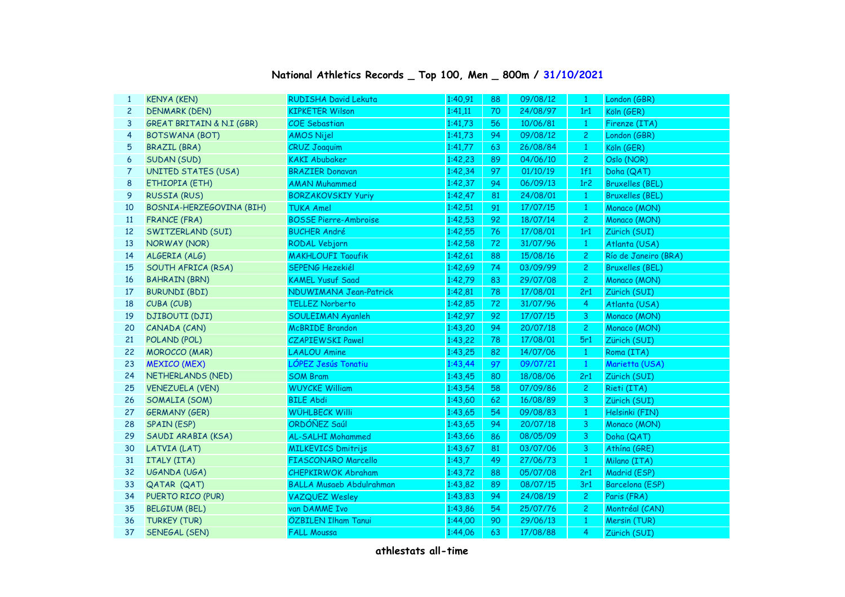## **National Athletics Records \_ Top 100, Men \_ 800m / 31/10/2021**

| <b>KENYA (KEN)</b>                   |                        | 1:40,91                                                                                                                                                                                                                                                                                                                                                                                                                                                                                                                                                                                                                                                                                                                                                                                                                 | 88      | 09/08/12 | -1              | London (GBR)           |
|--------------------------------------|------------------------|-------------------------------------------------------------------------------------------------------------------------------------------------------------------------------------------------------------------------------------------------------------------------------------------------------------------------------------------------------------------------------------------------------------------------------------------------------------------------------------------------------------------------------------------------------------------------------------------------------------------------------------------------------------------------------------------------------------------------------------------------------------------------------------------------------------------------|---------|----------|-----------------|------------------------|
|                                      | <b>KIPKETER Wilson</b> |                                                                                                                                                                                                                                                                                                                                                                                                                                                                                                                                                                                                                                                                                                                                                                                                                         | 70      | 24/08/97 | 1r1             | Köln (GER)             |
| <b>GREAT BRITAIN &amp; N.I (GBR)</b> |                        | 1:41,73                                                                                                                                                                                                                                                                                                                                                                                                                                                                                                                                                                                                                                                                                                                                                                                                                 | 56      | 10/06/81 | $\mathbf{1}$    | Firenze (ITA)          |
| <b>BOTSWANA (BOT)</b>                | <b>AMOS Nijel</b>      | 1:41,73                                                                                                                                                                                                                                                                                                                                                                                                                                                                                                                                                                                                                                                                                                                                                                                                                 | 94      | 09/08/12 | $\overline{c}$  | London (GBR)           |
| <b>BRAZIL (BRA)</b>                  |                        | 1:41,77                                                                                                                                                                                                                                                                                                                                                                                                                                                                                                                                                                                                                                                                                                                                                                                                                 | 63      | 26/08/84 | $\mathbf{1}$    | Köln (GER)             |
| SUDAN (SUD)                          | <b>KAKI Abubaker</b>   | 1:42,23                                                                                                                                                                                                                                                                                                                                                                                                                                                                                                                                                                                                                                                                                                                                                                                                                 | 89      | 04/06/10 | $\overline{c}$  | Oslo (NOR)             |
| <b>UNITED STATES (USA)</b>           |                        | 1:42,34                                                                                                                                                                                                                                                                                                                                                                                                                                                                                                                                                                                                                                                                                                                                                                                                                 | 97      | 01/10/19 | 1f1             | Doha (QAT)             |
| ETHIOPIA (ETH)                       | <b>AMAN Muhammed</b>   | 1:42,37                                                                                                                                                                                                                                                                                                                                                                                                                                                                                                                                                                                                                                                                                                                                                                                                                 | 94      | 06/09/13 | 1r <sub>2</sub> | <b>Bruxelles (BEL)</b> |
| <b>RUSSIA (RUS)</b>                  |                        | 1:42,47                                                                                                                                                                                                                                                                                                                                                                                                                                                                                                                                                                                                                                                                                                                                                                                                                 | 81      | 24/08/01 | $\mathbf{1}$    | <b>Bruxelles (BEL)</b> |
| BOSNIA-HERZEGOVINA (BIH)             |                        | 1:42,51                                                                                                                                                                                                                                                                                                                                                                                                                                                                                                                                                                                                                                                                                                                                                                                                                 | 91      | 17/07/15 | $\mathbf{1}$    | Monaco (MON)           |
| <b>FRANCE (FRA)</b>                  |                        | 1:42,53                                                                                                                                                                                                                                                                                                                                                                                                                                                                                                                                                                                                                                                                                                                                                                                                                 | 92      | 18/07/14 | $\overline{c}$  | Monaco (MON)           |
| SWITZERLAND (SUI)                    |                        | 1:42,55                                                                                                                                                                                                                                                                                                                                                                                                                                                                                                                                                                                                                                                                                                                                                                                                                 | 76      | 17/08/01 | 1r1             | Zürich (SUI)           |
| NORWAY (NOR)                         |                        | 1:42,58                                                                                                                                                                                                                                                                                                                                                                                                                                                                                                                                                                                                                                                                                                                                                                                                                 | 72      | 31/07/96 | $\mathbf{1}$    | Atlanta (USA)          |
| ALGERIA (ALG)                        |                        | 1:42,61                                                                                                                                                                                                                                                                                                                                                                                                                                                                                                                                                                                                                                                                                                                                                                                                                 | 88      | 15/08/16 | $\overline{c}$  | Río de Janeiro (BRA)   |
| SOUTH AFRICA (RSA)                   |                        | 1:42,69                                                                                                                                                                                                                                                                                                                                                                                                                                                                                                                                                                                                                                                                                                                                                                                                                 | 74      | 03/09/99 | $\overline{c}$  | <b>Bruxelles (BEL)</b> |
| <b>BAHRAIN (BRN)</b>                 |                        | 1:42,79                                                                                                                                                                                                                                                                                                                                                                                                                                                                                                                                                                                                                                                                                                                                                                                                                 | 83      | 29/07/08 | $\overline{c}$  | Monaco (MON)           |
| <b>BURUNDI (BDI)</b>                 |                        | 1:42,81                                                                                                                                                                                                                                                                                                                                                                                                                                                                                                                                                                                                                                                                                                                                                                                                                 | 78      | 17/08/01 | 2r1             | Zürich (SUI)           |
| CUBA (CUB)                           | <b>TELLEZ Norberto</b> | 1:42,85                                                                                                                                                                                                                                                                                                                                                                                                                                                                                                                                                                                                                                                                                                                                                                                                                 | 72      | 31/07/96 | $\overline{4}$  | Atlanta (USA)          |
| <b>DJIBOUTI (DJI)</b>                |                        | 1:42,97                                                                                                                                                                                                                                                                                                                                                                                                                                                                                                                                                                                                                                                                                                                                                                                                                 | 92      | 17/07/15 | 3               | Monaco (MON)           |
| CANADA (CAN)                         |                        | 1:43,20                                                                                                                                                                                                                                                                                                                                                                                                                                                                                                                                                                                                                                                                                                                                                                                                                 | 94      | 20/07/18 | $\overline{c}$  | Monaco (MON)           |
| POLAND (POL)                         |                        | 1:43,22                                                                                                                                                                                                                                                                                                                                                                                                                                                                                                                                                                                                                                                                                                                                                                                                                 | 78      | 17/08/01 | 5r1             | Zürich (SUI)           |
| <b>MOROCCO (MAR)</b>                 |                        | 1:43,25                                                                                                                                                                                                                                                                                                                                                                                                                                                                                                                                                                                                                                                                                                                                                                                                                 | 82      | 14/07/06 | $\mathbf{1}$    | Roma (ITA)             |
| <b>MEXICO (MEX)</b>                  |                        | 1:43,44                                                                                                                                                                                                                                                                                                                                                                                                                                                                                                                                                                                                                                                                                                                                                                                                                 | 97      | 09/07/21 | $\mathbf{1}$    | Marietta (USA)         |
| NETHERLANDS (NED)                    |                        | 1:43,45                                                                                                                                                                                                                                                                                                                                                                                                                                                                                                                                                                                                                                                                                                                                                                                                                 | 80      | 18/08/06 | 2r1             | Zürich (SUI)           |
| <b>VENEZUELA (VEN)</b>               |                        | 1:43,54                                                                                                                                                                                                                                                                                                                                                                                                                                                                                                                                                                                                                                                                                                                                                                                                                 | 58      | 07/09/86 | $\overline{2}$  | Rieti (ITA)            |
| SOMALIA (SOM)                        |                        | 1:43,60                                                                                                                                                                                                                                                                                                                                                                                                                                                                                                                                                                                                                                                                                                                                                                                                                 | 62      | 16/08/89 | 3               | Zürich (SUI)           |
| <b>GERMANY (GER)</b>                 |                        | 1:43,65                                                                                                                                                                                                                                                                                                                                                                                                                                                                                                                                                                                                                                                                                                                                                                                                                 | 54      | 09/08/83 | $\mathbf{1}$    | Helsinki (FIN)         |
| <b>SPAIN (ESP)</b>                   |                        | 1:43,65                                                                                                                                                                                                                                                                                                                                                                                                                                                                                                                                                                                                                                                                                                                                                                                                                 | 94      | 20/07/18 | 3               | Monaco (MON)           |
| SAUDI ARABIA (KSA)                   |                        | 1:43,66                                                                                                                                                                                                                                                                                                                                                                                                                                                                                                                                                                                                                                                                                                                                                                                                                 | 86      | 08/05/09 | 3               | Doha (QAT)             |
| LATVIA (LAT)                         |                        | 1:43,67                                                                                                                                                                                                                                                                                                                                                                                                                                                                                                                                                                                                                                                                                                                                                                                                                 | 81      | 03/07/06 | 3               | Athína (GRE)           |
| ITALY (ITA)                          |                        | 1:43,7                                                                                                                                                                                                                                                                                                                                                                                                                                                                                                                                                                                                                                                                                                                                                                                                                  | 49      | 27/06/73 | $\mathbf{1}$    | Milano (ITA)           |
| UGANDA (UGA)                         |                        | 1:43,72                                                                                                                                                                                                                                                                                                                                                                                                                                                                                                                                                                                                                                                                                                                                                                                                                 | 88      | 05/07/08 | 2r1             | Madrid (ESP)           |
| QATAR (QAT)                          |                        | 1:43,82                                                                                                                                                                                                                                                                                                                                                                                                                                                                                                                                                                                                                                                                                                                                                                                                                 | 89      | 08/07/15 | 3r1             | Barcelona (ESP)        |
| PUERTO RICO (PUR)                    |                        | 1:43,83                                                                                                                                                                                                                                                                                                                                                                                                                                                                                                                                                                                                                                                                                                                                                                                                                 | 94      | 24/08/19 | $\overline{c}$  | Paris (FRA)            |
| <b>BELGIUM (BEL)</b>                 |                        | 1:43,86                                                                                                                                                                                                                                                                                                                                                                                                                                                                                                                                                                                                                                                                                                                                                                                                                 | 54      | 25/07/76 | $\overline{c}$  | Montréal (CAN)         |
| <b>TURKEY (TUR)</b>                  |                        | 1:44,00                                                                                                                                                                                                                                                                                                                                                                                                                                                                                                                                                                                                                                                                                                                                                                                                                 | 90      | 29/06/13 | $\mathbf{1}$    | Mersin (TUR)           |
| SENEGAL (SEN)                        |                        | 1:44,06                                                                                                                                                                                                                                                                                                                                                                                                                                                                                                                                                                                                                                                                                                                                                                                                                 | 63      | 17/08/88 | $\overline{4}$  | Zürich (SUI)           |
|                                      | <b>DENMARK (DEN)</b>   | <b>RUDISHA David Lekuta</b><br><b>COE</b> Sebastian<br><b>CRUZ Joaquim</b><br><b>BRAZIER Donavan</b><br><b>BORZAKOVSKIY Yuriy</b><br><b>TUKA Amel</b><br><b>BOSSE Pierre-Ambroise</b><br><b>BUCHER André</b><br>RODAL Vebjorn<br><b>MAKHLOUFI Taoufik</b><br><b>SEPENG Hezekiél</b><br><b>KAMEL Yusuf Saad</b><br>NDUWIMANA Jean-Patrick<br><b>SOULEIMAN Ayanleh</b><br><b>McBRIDE Brandon</b><br><b>CZAPIEWSKI Pawel</b><br><b>LAALOU Amine</b><br>LÓPEZ Jesús Tonatiu<br><b>SOM Bram</b><br><b>WUYCKE William</b><br><b>BILE Abdi</b><br><b>WÜHLBECK Willi</b><br>ORDÓÑEZ Saúl<br><b>AL-SALHI Mohammed</b><br><b>MILKEVICS Dmitrijs</b><br>FIASCONARO Marcello<br><b>CHEPKIRWOK Abraham</b><br><b>BALLA Musaeb Abdulrahman</b><br><b>VAZQUEZ Wesley</b><br>van DAMME Ivo<br>ÖZBILEN Ilham Tanui<br><b>FALL Moussa</b> | 1:41,11 |          |                 |                        |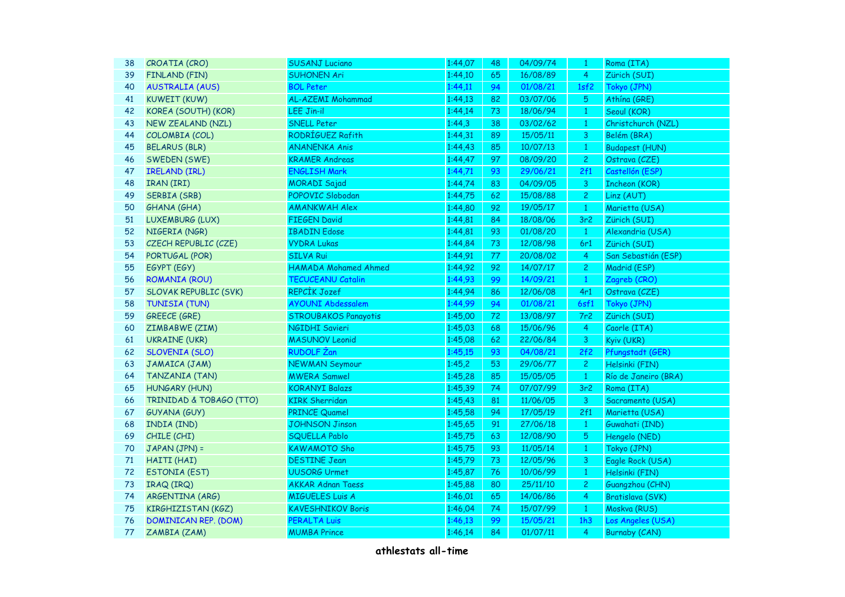| 38 | CROATIA (CRO)                | <b>SUSANJ Luciano</b>       | 1:44,07 | 48 | 04/09/74 | $\mathbf{1}$    | Roma (ITA)            |
|----|------------------------------|-----------------------------|---------|----|----------|-----------------|-----------------------|
| 39 | <b>FINLAND (FIN)</b>         | <b>SUHONEN Ari</b>          | 1:44,10 | 65 | 16/08/89 | $\overline{4}$  | Zürich (SUI)          |
| 40 | <b>AUSTRALIA (AUS)</b>       | <b>BOL Peter</b>            | 1:44,11 | 94 | 01/08/21 | 1sf2            | Tokyo (JPN)           |
| 41 | <b>KUWEIT (KUW)</b>          | AL-AZEMI Mohammad           | 1:44,13 | 82 | 03/07/06 | $\sqrt{5}$      | Athína (GRE)          |
| 42 | KOREA (SOUTH) (KOR)          | LEE Jin-il                  | 1:44,14 | 73 | 18/06/94 | $\mathbf{1}$    | Seoul (KOR)           |
| 43 | NEW ZEALAND (NZL)            | <b>SNELL Peter</b>          | 1:44,3  | 38 | 03/02/62 | $\mathbf{1}$    | Christchurch (NZL)    |
| 44 | COLOMBIA (COL)               | RODRÍGUEZ Rafith            | 1:44,31 | 89 | 15/05/11 | $\mathsf{3}$    | Belém (BRA)           |
| 45 | <b>BELARUS (BLR)</b>         | <b>ANANENKA Anis</b>        | 1:44,43 | 85 | 10/07/13 | $\,1\,$         | <b>Budapest (HUN)</b> |
| 46 | SWEDEN (SWE)                 | <b>KRAMER Andreas</b>       | 1:44,47 | 97 | 08/09/20 | $\overline{c}$  | Ostrava (CZE)         |
| 47 | <b>IRELAND (IRL)</b>         | <b>ENGLISH Mark</b>         | 1:44,71 | 93 | 29/06/21 | 2f1             | Castellón (ESP)       |
| 48 | IRAN (IRI)                   | <b>MORADI Sajad</b>         | 1:44,74 | 83 | 04/09/05 | $\overline{3}$  | <b>Incheon (KOR)</b>  |
| 49 | <b>SERBIA (SRB)</b>          | POPOVIC Slobodan            | 1:44,75 | 62 | 15/08/88 | $\overline{c}$  | Linz (AUT)            |
| 50 | GHANA (GHA)                  | <b>AMANKWAH Alex</b>        | 1:44,80 | 92 | 19/05/17 | $\mathbf{1}$    | Marietta (USA)        |
| 51 | LUXEMBURG (LUX)              | <b>FIEGEN David</b>         | 1:44,81 | 84 | 18/08/06 | 3r <sub>2</sub> | Zürich (SUI)          |
| 52 | NIGERIA (NGR)                | <b>IBADIN Edose</b>         | 1:44,81 | 93 | 01/08/20 | $\mathbf{1}$    | Alexandria (USA)      |
| 53 | CZECH REPUBLIC (CZE)         | <b>VYDRA Lukas</b>          | 1:44,84 | 73 | 12/08/98 | 6r1             | Zürich (SUI)          |
| 54 | PORTUGAL (POR)               | <b>SILVA Rui</b>            | 1:44,91 | 77 | 20/08/02 | $\overline{4}$  | San Sebastián (ESP)   |
| 55 | EGYPT (EGY)                  | <b>HAMADA Mohamed Ahmed</b> | 1:44,92 | 92 | 14/07/17 | $\overline{c}$  | Madrid (ESP)          |
| 56 | <b>ROMANIA (ROU)</b>         | <b>TECUCEANU Catalin</b>    | 1:44,93 | 99 | 14/09/21 | $\mathbf{1}$    | Zagreb (CRO)          |
| 57 | <b>SLOVAK REPUBLIC (SVK)</b> | REPCIK Jozef                | 1:44,94 | 86 | 12/06/08 | 4r1             | Ostrava (CZE)         |
| 58 | <b>TUNISIA (TUN)</b>         | <b>AYOUNI Abdessalem</b>    | 1:44,99 | 94 | 01/08/21 | 6sf1            | Tokyo (JPN)           |
| 59 | <b>GREECE (GRE)</b>          | <b>STROUBAKOS Panayotis</b> | 1:45,00 | 72 | 13/08/97 | 7r2             | Zürich (SUI)          |
| 60 | ZIMBABWE (ZIM)               | <b>NGIDHI Savieri</b>       | 1:45,03 | 68 | 15/06/96 | 4               | Caorle (ITA)          |
| 61 | <b>UKRAINE (UKR)</b>         | <b>MASUNOV Leonid</b>       | 1:45,08 | 62 | 22/06/84 | 3               | Kyiv (UKR)            |
| 62 | <b>SLOVENIA (SLO)</b>        | RUDOLF Žan                  | 1:45,15 | 93 | 04/08/21 | 2f2             | Pfungstadt (GER)      |
| 63 | JAMAICA (JAM)                | <b>NEWMAN Seymour</b>       | 1:45,2  | 53 | 29/06/77 | $\mathbf{2}$    | Helsinki (FIN)        |
| 64 | TANZANIA (TAN)               | <b>MWERA Samwel</b>         | 1:45,28 | 85 | 15/05/05 | $\mathbf{1}$    | Río de Janeiro (BRA)  |
| 65 | HUNGARY (HUN)                | <b>KORANYI Balazs</b>       | 1:45,39 | 74 | 07/07/99 | 3r <sub>2</sub> | Roma (ITA)            |
| 66 | TRINIDAD & TOBAGO (TTO)      | <b>KIRK Sherridan</b>       | 1:45,43 | 81 | 11/06/05 | 3               | Sacramento (USA)      |
| 67 | GUYANA (GUY)                 | <b>PRINCE Quamel</b>        | 1:45,58 | 94 | 17/05/19 | 2f1             | Marietta (USA)        |
| 68 | INDIA (IND)                  | <b>JOHNSON Jinson</b>       | 1:45,65 | 91 | 27/06/18 | $\mathbf{1}$    | Guwahati (IND)        |
| 69 | CHILE (CHI)                  | <b>SQUELLA Pablo</b>        | 1:45,75 | 63 | 12/08/90 | $\sqrt{5}$      | Hengelo (NED)         |
| 70 | JAPAN (JPN) =                | <b>KAWAMOTO Sho</b>         | 1:45,75 | 93 | 11/05/14 | $\mathbf{1}$    | Tokyo (JPN)           |
| 71 | HAITI (HAI)                  | <b>DESTINE Jean</b>         | 1:45,79 | 73 | 12/05/96 | 3               | Eagle Rock (USA)      |
| 72 | <b>ESTONIA (EST)</b>         | <b>UUSORG Urmet</b>         | 1:45,87 | 76 | 10/06/99 | $\mathbf{1}$    | Helsinki (FIN)        |
| 73 | IRAQ (IRQ)                   | <b>AKKAR Adnan Taess</b>    | 1:45,88 | 80 | 25/11/10 | $\overline{c}$  | Guangzhou (CHN)       |
| 74 | ARGENTINA (ARG)              | <b>MIGUELES Luis A</b>      | 1:46,01 | 65 | 14/06/86 | $\overline{4}$  | Bratislava (SVK)      |
| 75 | KIRGHIZISTAN (KGZ)           | <b>KAVESHNIKOV Boris</b>    | 1:46,04 | 74 | 15/07/99 | $\mathbf{1}$    | Moskva (RUS)          |
| 76 | <b>DOMINICAN REP. (DOM)</b>  | PERALTA Luis                | 1:46,13 | 99 | 15/05/21 | 1h3             | Los Angeles (USA)     |
| 77 | ZAMBIA (ZAM)                 | <b>MUMBA Prince</b>         | 1:46,14 | 84 | 01/07/11 | 4               | <b>Burnaby (CAN)</b>  |